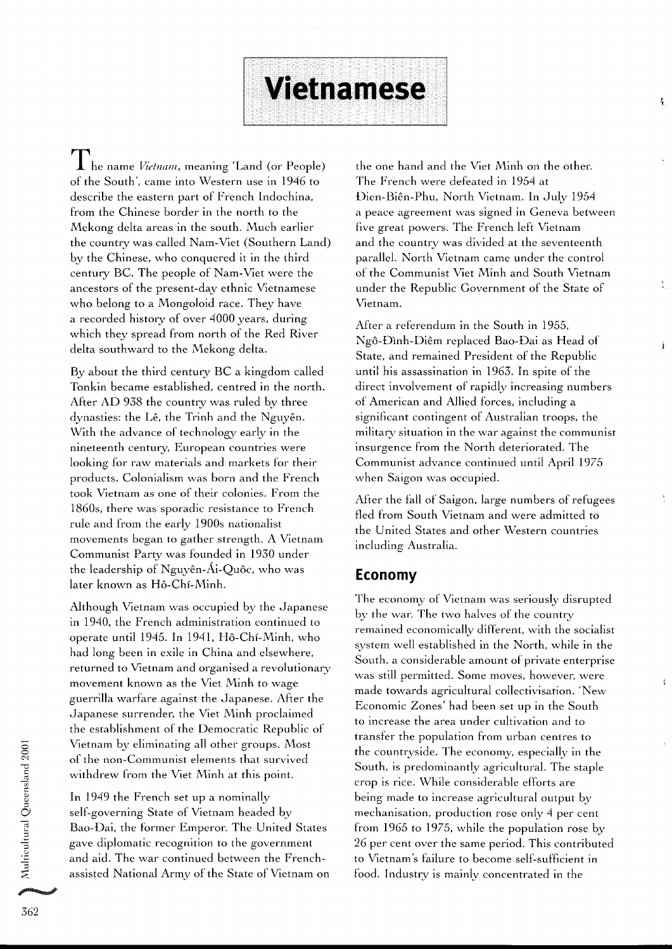I he name *Vietnam*, meaning 'Land (or People) of the South', came into Western use in 1946 to describe the eastern part of French Indochina, from the Chinese border in the north to the Mekong delta areas in the south. Much earlier the country was called Nam-Viet (Southern Land) by the Chinese, who conquered it in the third century BC. The people of Nam-Viet were the ancestors of the present-day ethnic Vietnamese who belong to a Mongoloid race. They have a recorded history of over 4000 years, during which they spread from north of the Red River delta southward to the Mekong delta.

By about the third century BC a kingdom called Tonkin became established, centred in the north. After AD 938 the country was ruled by three dynasties: the Lê, the Trinh and the Nguyên. With the advance of technology early in the nineteenth century, European countries were looking for raw materials and markets for their products. Colonialism was born and the French took Vietnam as one of their colonies. From the 1860s, there was sporadic resistance to French rule and from the early 1900s nationalist movements began to gather strength. A Vietnam Communist Party was founded in 1930 under the leadership of Nguyên-Ái-Quôc, who was later known as H6-Chi-Minh.

Although Vietnam was occupied by the Japanese in 1940, the French administration continued to operate until 1945. In 1941, Hô-Chí-Minh, who had long been in exile in China and elsewhere, returned to Vietnam and organised a revolutionary movement known as the Viet Minh to wage guerrilla warfare against the Japanese. After the Japanese surrender, the Viet Minh proclaimed the establishment of the Democratic Republic of Vietnam by eliminating all other groups. Most of the non-Communist elements that survived withdrew from the Viet Minh at this point.

self-governing State of Vietnam headed by mechanisation, production rose only 4 per cent Bao-Dai, the former Emperor. The United States from 1965 to 1975, while the population rose by and aid. The war continued between the French-<br>assisted National Army of the State of Vietnam on food. Industry is mainly concentrated in the assisted National Army of the State of Vietnam on

the one hand and the Viet Minh on the other. The French were defeated in 1954 at Dien-BiEn-Phu, North Vietnam. In July 1954 a peace agreement was signed in Geneva between five great powers. The French left Vietnam and the country was divided at the seventeenth parallel. North Vietnam came under the control of the Communist Viet Minh and South Vietnam under the Republic Government of the State of Vietnam.

ţ

After a referendum in the South in 1955, Ngô-Đình-Diêm replaced Bao-Đai as Head of State, and remained President of the Republic until his assassination in 1963. In spite of the direct involvement of rapidly increasing numbers of American and Allied forces, including a significant contingent of Australian troops, the military situation in the war against the communist insurgence from the North deteriorated. The Communist advance continued until April 1975 when Saigon was occupied.

After the fall of Saigon, large numbers of refugees fled from South Vietnam and were admitted to the United States and other Western countries including Australia.

#### **Economy**

**Vietnamese** 

The economy of Vietnam was seriously disrupted by the war. The two halves of the country remained economically different, with the socialist system well established in the North, while in the South, a considerable amount of private enterprise was still permitted. Some moves, however, were made towards agricultural collectivisation. 'New Economic Zones' had been set up in the South to increase the area under cultivation and to transfer the population from urban centres to the countryside. The economy, especially in the South, is predominantly agricultural. The staple withdrew Holf the Viet Hilli at this point.<br>
Fraction of the considerable efforts are<br> **Fraction and the French set up a nominally** being made to increase agricultural output being made to increase agricultural output by gave diplomatic recognition to the government 26 per cent over the same period. This contributed<br>and aid. The war continued between the French-<br>to Vietnam's failure to become self-sufficient in

al Que<br>a

ultural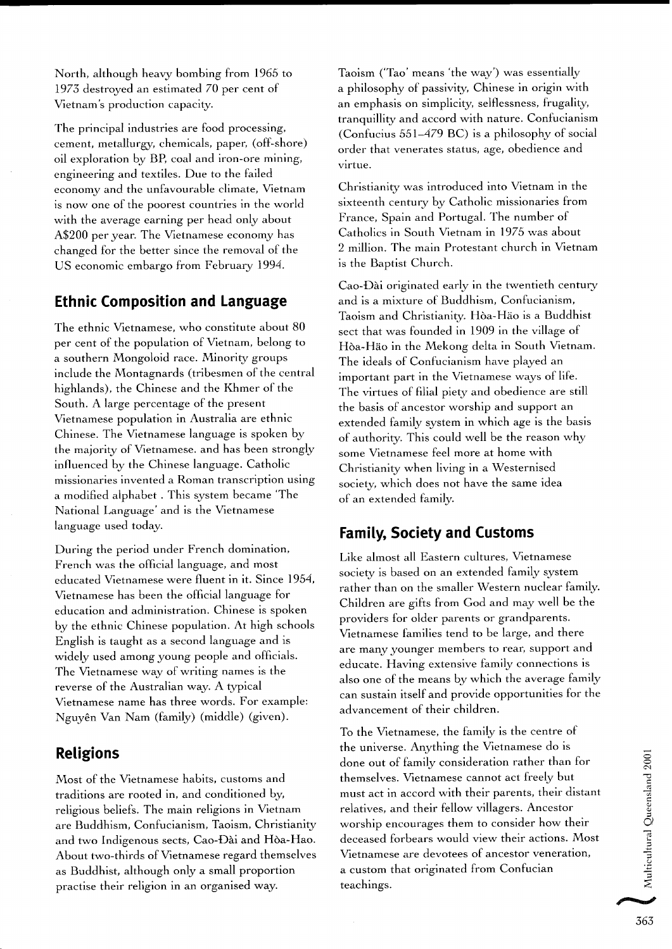North, although heavy bombing from 1965 to 1973 destroyed an estimated 70 per cent of Vietnam's production capacity.

The principal industries are food processing, cement, metallurgy, chemicals, paper, (off-shore) oil exploration by BP, coal and iron-ore mining, engineering and textiles. Due to the failed economy and the unfavourable climate, Vietnam is now one of the poorest countries in the world with the average earning per head only about A\$200 per year. The Vietnamese economy has changed for the better since the removal of the US economic embargo from February 1994.

#### **Ethnic Composition and Language**

The ethnic Vietnamese, who constitute about 80 per cent of the population of Vietnam, belong to a southern Mongoloid race. Minority groups include the Montagnards (tribesmen of the central highlands), the Chinese and the Khmer of the South. A large percentage of the present Vietnamese population in Australia are ethnic Chinese. The Vietnamese language is spoken by the majority of Vietnamese. and has been strongly influenced by the Chinese language. Catholic missionaries invented a Roman transcription using a modified alphabet . This system became 'The National Language' and is the Vietnamese language used today.

During the period under French domination, French was the official language, and most educated Vietnamese were fluent in it. Since 1954, Vietnamese has been the official language for education and administration. Chinese is spoken by the ethnic Chinese population. At high schools English is taught as a second language and is widely used among young people and officials. The Vietnamese way of writing names is the reverse of the Australian way. A typical Vietnamese name has three words. For example: Nguy&n Van Nam (family) (middle) (given).

# **Religions**

Most of the Vietnamese habits, customs and traditions are rooted in, and conditioned by, religious beliefs. The main religions in Vietnam are Buddhism, Confucianism, Taoism, Christianity and two Indigenous sects, Cao-Dài and Hòa-Hao. About two-thirds of Vietnamese regard themselves as Buddhist, although only a small proportion practise their religion in an organised way.

Taoism ('Tao' means 'the way') was essentially a philosophy of passivity, Chinese in origin with an emphasis on simplicity, selflessness, frugality, tranquillity and accord with nature. Confucianism (Confucius 551-479 BC) is a philosophy of social order that venerates status, age, obedience and virtue.

Christianity was introduced into Vietnam in the sixteenth century by Catholic missionaries from France, Spain and Portugal. The number of Catholics in South Vietnam in 1975 was about 2 million. The main Protestant church in Vietnam is the Baptist Church.

Cao-Dài originated early in the twentieth century and is a mixture of Buddhism, Confucianism, Taoism and Christianity. Hba-Hao is a Buddhist sect that was founded in 1909 in the village of Hba-Hao in the Mekong delta in South Vietnam. The ideals of Confucianism have played an important part in the Vietnamese ways of life. The virtues of filial piety and obedience are still the basis of ancestor worship and support an extended family system in which age is the basis of authority. This could well be the reason why some Vietnamese feel more at home with Christianity when living in a Westernised society, which does not have the same idea of an extended family.

# **Family, Society and Customs**

Like almost all Eastern cultures, Vietnamese society is based on an extended family system rather than on the smaller Western nuclear family. Children are gifts from God and may well be the providers for older parents or grandparents. Vietnamese families tend to be large, and there are many younger members to rear, support and educate. Having extensive family connections is also one of the means by which the average family can sustain itself and provide opportunities for the advancement of their children.

To the Vietnamese, the family is the centre of the universe. Anything the Vietnamese do is done out of family consideration rather than for themselves. Vietnamese cannot act freely but must act in accord with their parents, their distant **<sup>d</sup>4**  relatives, and their fellow villagers. Ancestor worship encourages them to consider how their deceased forbears would view their actions. Most<br>Vietnamese are devotees of ancestor veneration, Vietnamese are devotees of ancestor veneration,<br>a custom that originated from Confucian teachings.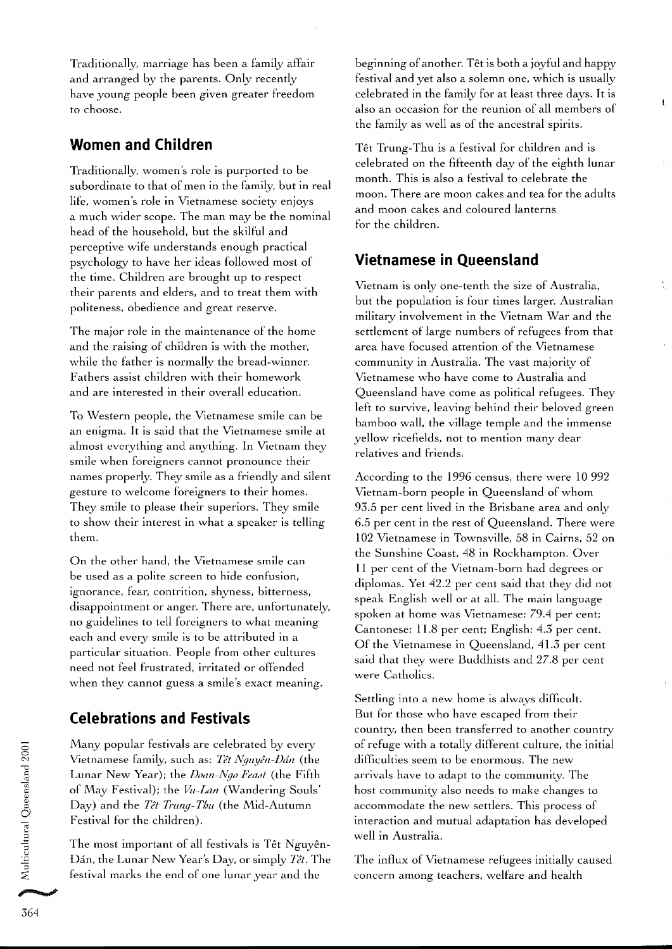Traditionally, marriage has been a family affair and arranged by the parents. Only recently have young people been given greater freedom to choose.

#### **Women and Children**

Traditionally, women's role is purported to be subordinate to that of men in the family, but in real life, women's role in Vietnamese society enjoys a much wider scope. The man may be the nominal head of the household, but the skilful and perceptive wife understands enough practical psychology to have her ideas followed most of the time. Children are brought up to respect their parents and elders, and to treat them with politeness, obedience and great reserve.

The major role in the maintenance of the home and the raising of children is with the mother, while the father is normally the bread-winner. Fathers assist children with their homework and are interested in their overall education.

To Western people, the Vietnamese smile can be an enigma. It is said that the Vietnamese smile at almost everything and anything. In Vietnam they smile when foreigners cannot pronounce their names properly. They smile as a friendly and silent gesture to welcome foreigners to their homes. They smile to please their superiors. They smile to show their interest in what a speaker is telling them.

On the other hand, the Vietnamese smile can be used as a polite screen to hide confusion, ignorance, fear, contrition, shyness, bitterness, disappointment or anger. There are, unfortunately, no guidelines to tell foreigners to what meaning each and every smile is to be attributed in a particular situation. People from other cultures need not feel frustrated, irritated or offended when they cannot guess a smile's exact meaning.

# **Celebrations and Festivals**

Many popular festivals are celebrated by every Vietnamese family, such as: *Têt Nguyên-Đán* (the Lunar New Year); the *Doan-Ngo Feast* (the Fifth of May Festival); the *Vu-Lan* (Wandering Souls' Day) and the *Têt Trung-Thu* (the Mid-Autumn Festival for the children).

The most important of all festivals is Têt Nguyên-<br>Dán, the Lunar New Year's Day, or simply *Têt*. The *5* festival marks the end of one lunar year and the

beginning of another. Têt is both a joyful and happy festival and yet also a solemn one, which is usually celebrated in the family for at least three days. It is also an occasion for the reunion of all members of the family as well as of the ancestral spirits.

Têt Trung-Thu is a festival for children and is celebrated on the fifteenth day of the eighth lunar month. This is also a festival to celebrate the moon. There are moon cakes and tea for the adults and moon cakes and coloured lanterns for the children.

# **Vietnamese in Queensland**

Vietnam is only one-tenth the size of Australia, but the population is four times larger. Australian military involvement in the Vietnam War and the settlement of large numbers of refugees from that area have focused attention of the Vietnamese community in Australia. The vast majority of Vietnamese who have come to Australia and Queensland have come as political refugees. They left to survive, leaving behind their beloved green bamboo wall, the village temple and the immense yellow ricefields, not to mention many dear relatives and friends.

According to the 1996 census, there were 10 992 Vietnam-born people in Queensland of whom 93.5 per cent lived in the Brisbane area and only 6.5 per cent in the rest of Queensland. There were 102 Vietnamese in Townsville, 58 in Cairns, 52 on the Sunshine Coast, 48 in Rockhampton. Over 11 per cent of the Vietnam-born had degrees or diplomas. Yet 42.2 per cent said that they did not speak English well or at all. The main language spoken at home was Vietnamese: 79.4 per cent; Cantonese: 11.8 per cent; English: 4.3 per cent. Of the Vietnamese in Queensland, 41.3 per cent said that they were Buddhists and 27.8 per cent were Catholics.

Settling into a new home is always difficult. But for those who have escaped from their country, then been transferred to another country of refuge with a totally different culture, the initial difficulties seem to be enormous. The new arrivals have to adapt to the community. The host community also needs to make changes to accommodate the new settlers. This process of interaction and mutual adaptation has developed well in Australia.

The influx of Vietnamese refugees initially caused concern among teachers, welfare and health